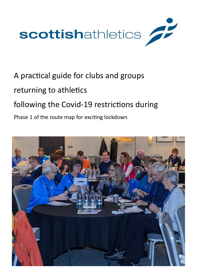

# A practical guide for clubs and groups

## returning to athletics

# following the Covid-19 restrictions during

### Phase 1 of the route map for exciting lockdown

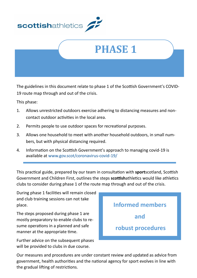



The guidelines in this document relate to phase 1 of the Scottish Government's COVID-19 route map through and out of the crisis.

This phase:

- 1. Allows unrestricted outdoors exercise adhering to distancing measures and noncontact outdoor activities in the local area.
- 2. Permits people to use outdoor spaces for recreational purposes.
- 3. Allows one household to meet with another household outdoors, in small numbers, but with physical distancing required.
- 4. Information on the Scottish Government's approach to managing covid-19 is available at [www.gov.scot/coronavirus](http://www.gov.scot/coronavirus-covid-19/)-covid-19/

This practical guide, prepared by our team in consultation with **sport**scotland, Scottish Government and Children First, outlines the steps **scottish**athletics would like athletics clubs to consider during phase 1 of the route map through and out of the crisis.

During phase 1 facilities will remain closed and club training sessions can not take place.

The steps proposed during phase 1 are mostly preparatory to enable clubs to resume operations in a planned and safe manner at the appropriate time.

Further advice on the subsequent phases will be provided to clubs in due course.



Our measures and procedures are under constant review and updated as advice from government, health authorities and the national agency for sport evolves in line with the gradual lifting of restrictions.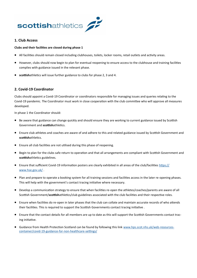

#### **1. Club Access**

#### **Clubs and their facilities are closed during phase 1**

- All facilities should remain closed including clubhouses, toilets, locker rooms, retail outlets and activity areas.
- However, clubs should now begin to plan for eventual reopening to ensure access to the clubhouse and training facilities complies with guidance issued in the relevant phase.
- **scottish**athletics will issue further guidance to clubs for phase 2, 3 and 4.

#### **2. Covid-19 Coordinator**

Clubs should appoint a Covid-19 Coordinator or coordinators responsible for managing issues and queries relating to the Covid-19 pandemic. The Coordinator must work in close cooperation with the club committee who will approve all measures developed.

In phase 1 the Coordinator should:

- Be aware that guidance can change quickly and should ensure they are working to current guidance issued by Scottish Government and **scottish**athletics.
- Ensure club athletes and coaches are aware of and adhere to this and related guidance issued by Scottish Government and **scottish**athletics.
- Ensure all club facilities are not utilised during this phase of reopening.
- Begin to plan for the clubs safe return to operation and that all arrangements are compliant with Scottish Government and **scottish**athletics guidelines.
- Ensure that sufficient Covid-19 information posters are clearly exhibited in all areas of the club/facilities [https://](https://www.hse.gov.uk/) [www.hse.gov.uk/](https://www.hse.gov.uk/) .
- Plan and prepare to operate a booking system for all training sessions and facilities access in the later re-opening phases. This will help with the government's contact tracing initiative where necessary.
- Develop a communication strategy to ensure that when facilities re-open the athletes/coaches/parents are aware of all Scottish Government/**scottish**athletics/club guidelines associated with the club facilities and their respective roles.
- Ensure when facilities do re-open in later phases that the club can collate and maintain accurate records of who attends their facilities. This is required to support the Scottish Governments contact tracing initiative .
- Ensure that the contact details for all members are up to date as this will support the Scottish Governments contact tracing initiative.
- Guidance from Health Protection Scotland can be found by following this link [www.hps.scot.nhs.uk/web](http://www.hps.scot.nhs.uk/web-resources-container/covid-19-guidance-for-non-healthcare-settings/)-resources[container/covid](http://www.hps.scot.nhs.uk/web-resources-container/covid-19-guidance-for-non-healthcare-settings/)-19-guidance-for-non-healthcare-settings/